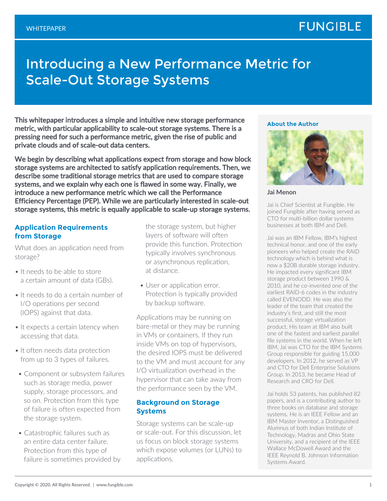# Introducing a New Performance Metric for Scale-Out Storage Systems

This whitepaper introduces a simple and intuitive new storage performance metric, with particular applicability to scale-out storage systems. There is a pressing need for such a performance metric, given the rise of public and private clouds and of scale-out data centers.

We begin by describing what applications expect from storage and how block storage systems are architected to satisfy application requirements. Then, we describe some traditional storage metrics that are used to compare storage systems, and we explain why each one is flawed in some way. Finally, we introduce a new performance metric which we call the Performance Efficiency Percentage (PEP). While we are particularly interested in scale-out storage systems, this metric is equally applicable to scale-up storage systems.

## **Application Requirements from Storage**

What does an application need from storage?

- It needs to be able to store a certain amount of data (GBs).
- It needs to do a certain number of I/O operations per second (IOPS) against that data.
- It expects a certain latency when accessing that data.
- It often needs data protection from up to 3 types of failures.
- Component or subsystem failures such as storage media, power supply, storage processors, and so on. Protection from this type of failure is often expected from the storage system.
- Catastrophic failures such as an entire data center failure. Protection from this type of failure is sometimes provided by

the storage system, but higher layers of software will often provide this function. Protection typically involves synchronous or asynchronous replication, at distance.

• User or application error. Protection is typically provided by backup software.

Applications may be running on bare-metal or they may be running in VMs or containers. If they run inside VMs on top of hypervisors, the desired IOPS must be delivered to the VM and must account for any I/O virtualization overhead in the hypervisor that can take away from the performance seen by the VM.

## **Background on Storage Systems**

Storage systems can be scale-up or scale-out. For this discussion, let us focus on block storage systems which expose volumes (or LUNs) to applications.

#### **About the Author**



**Jai Menon**

Jai is Chief Scientist at Fungible. He joined Fungible after having served as CTO for multi-billion dollar systems businesses at both IBM and Dell.

Jai was an IBM Fellow, IBM's highest technical honor, and one of the early pioneers who helped create the RAID technology which is behind what is now a \$20B durable storage industry. He impacted every significant IBM storage product between 1990 & 2010, and he co-invented one of the earliest RAID-6 codes in the industry called EVENODD. He was also the leader of the team that created the industry's first, and still the most successful, storage virtualization product. His team at IBM also built one of the fastest and earliest parallel file systems in the world. When he left IBM, Jai was CTO for the IBM Systems Group responsible for guiding 15,000 developers. In 2012, he served as VP and CTO for Dell Enterprise Solutions Group. In 2013, he became Head of Research and CRO for Dell.

Jai holds 53 patents, has published 82 papers, and is a contributing author to three books on database and storage systems. He is an IEEE Fellow and an IBM Master Inventor, a Distinguished Alumnus of both Indian Institute of Technology, Madras and Ohio State University, and a recipient of the IEEE Wallace McDowell Award and the IEEE Reynold B. Johnson Information Systems Award.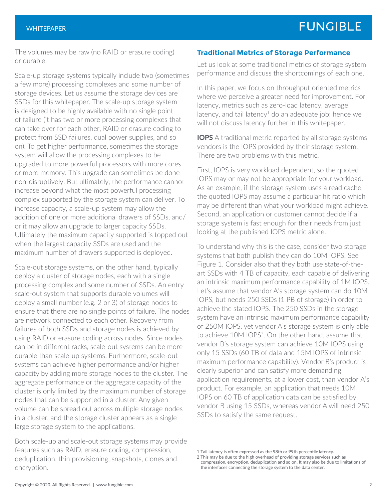The volumes may be raw (no RAID or erasure coding) or durable.

Scale-up storage systems typically include two (sometimes a few more) processing complexes and some number of storage devices. Let us assume the storage devices are SSDs for this whitepaper. The scale-up storage system is designed to be highly available with no single point of failure (it has two or more processing complexes that can take over for each other, RAID or erasure coding to protect from SSD failures, dual power supplies, and so on). To get higher performance, sometimes the storage system will allow the processing complexes to be upgraded to more powerful processors with more cores or more memory. This upgrade can sometimes be done non-disruptively. But ultimately, the performance cannot increase beyond what the most powerful processing complex supported by the storage system can deliver. To increase capacity, a scale-up system may allow the addition of one or more additional drawers of SSDs, and/ or it may allow an upgrade to larger capacity SSDs. Ultimately the maximum capacity supported is topped out when the largest capacity SSDs are used and the maximum number of drawers supported is deployed.

Scale-out storage systems, on the other hand, typically deploy a cluster of storage nodes, each with a single processing complex and some number of SSDs. An entry scale-out system that supports durable volumes will deploy a small number (e.g. 2 or 3) of storage nodes to ensure that there are no single points of failure. The nodes are network connected to each other. Recovery from failures of both SSDs and storage nodes is achieved by using RAID or erasure coding across nodes. Since nodes can be in different racks, scale-out systems can be more durable than scale-up systems. Furthermore, scale-out systems can achieve higher performance and/or higher capacity by adding more storage nodes to the cluster. The aggregate performance or the aggregate capacity of the cluster is only limited by the maximum number of storage nodes that can be supported in a cluster. Any given volume can be spread out across multiple storage nodes in a cluster, and the storage cluster appears as a single large storage system to the applications.

Both scale-up and scale-out storage systems may provide features such as RAID, erasure coding, compression, deduplication, thin provisioning, snapshots, clones and encryption.

## **Traditional Metrics of Storage Performance**

Let us look at some traditional metrics of storage system performance and discuss the shortcomings of each one.

In this paper, we focus on throughput oriented metrics where we perceive a greater need for improvement. For latency, metrics such as zero-load latency, average latency, and tail latency<sup>1</sup> do an adequate job; hence we will not discuss latency further in this whitepaper.

**IOPS** A traditional metric reported by all storage systems vendors is the IOPS provided by their storage system. There are two problems with this metric.

First, IOPS is very workload dependent, so the quoted IOPS may or may not be appropriate for your workload. As an example, if the storage system uses a read cache, the quoted IOPS may assume a particular hit ratio which may be different than what your workload might achieve. Second, an application or customer cannot decide if a storage system is fast enough for their needs from just looking at the published IOPS metric alone.

To understand why this is the case, consider two storage systems that both publish they can do 10M IOPS. See Figure 1. Consider also that they both use state-of-theart SSDs with 4 TB of capacity, each capable of delivering an intrinsic maximum performance capability of 1M IOPS. Let's assume that vendor A's storage system can do 10M IOPS, but needs 250 SSDs (1 PB of storage) in order to achieve the stated IOPS. The 250 SSDs in the storage system have an intrinsic maximum performance capability of 250M IOPS, yet vendor A's storage system is only able to achieve 10M IOPS<sup>2</sup>. On the other hand, assume that vendor B's storage system can achieve 10M IOPS using only 15 SSDs (60 TB of data and 15M IOPS of intrinsic maximum performance capability). Vendor B's product is clearly superior and can satisfy more demanding application requirements, at a lower cost, than vendor A's product. For example, an application that needs 10M IOPS on 60 TB of application data can be satisfied by vendor B using 15 SSDs, whereas vendor A will need 250 SSDs to satisfy the same request.

<sup>1</sup> Tail latency is often expressed as the 98th or 99th percentile latency. 2 This may be due to the high overhead of providing storage services such as

compression, encryption, deduplication and so on. It may also be due to limitations of the interfaces connecting the storage system to the data center.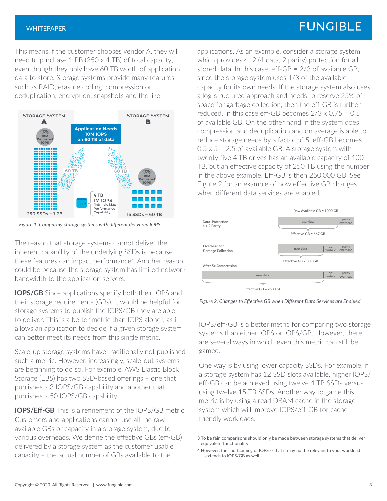## **FUNGIBLE**

This means if the customer chooses vendor A, they will need to purchase 1 PB (250 x 4 TB) of total capacity, even though they only have 60 TB worth of application data to store. Storage systems provide many features such as RAID, erasure coding, compression or deduplication, encryption, snapshots and the like.



*Figure 1. Comparing storage systems with different delivered IOPS*

The reason that storage systems cannot deliver the inherent capability of the underlying SSDs is because these features can impact performance<sup>3</sup>. Another reason could be because the storage system has limited network bandwidth to the application servers.

**IOPS/GB** Since applications specify both their IOPS and their storage requirements (GBs), it would be helpful for storage systems to publish the IOPS/GB they are able to deliver. This is a better metric than IOPS alone<sup>4</sup>, as it allows an application to decide if a given storage system can better meet its needs from this single metric.

Scale-up storage systems have traditionally not published such a metric. However, increasingly, scale-out systems are beginning to do so. For example, AWS Elastic Block Storage (EBS) has two SSD-based offerings – one that publishes a 3 IOPS/GB capability and another that publishes a 50 IOPS/GB capability.

**IOPS/Eff-GB** This is a refinement of the IOPS/GB metric. Customers and applications cannot use all the raw available GBs or capacity in a storage system, due to various overheads. We define the effective GBs (eff-GB) delivered by a storage system as the customer usable capacity – the actual number of GBs available to the

applications. As an example, consider a storage system which provides 4+2 (4 data, 2 parity) protection for all stored data. In this case, eff-GB = 2/3 of available GB, since the storage system uses 1/3 of the available capacity for its own needs. If the storage system also uses a log-structured approach and needs to reserve 25% of space for garbage collection, then the eff-GB is further reduced. In this case eff-GB becomes  $2/3 \times 0.75 = 0.5$ of available GB. On the other hand, if the system does compression and deduplication and on average is able to reduce storage needs by a factor of 5, eff-GB becomes  $0.5 \times 5 = 2.5$  of available GB. A storage system with twenty five 4 TB drives has an available capacity of 100 TB, but an effective capacity of 250 TB using the number in the above example. Eff-GB is then 250,000 GB. See Figure 2 for an example of how effective GB changes when different data services are enabled.



*Figure 2. Changes to Effective GB when Different Data Services are Enabled* 

IOPS/eff-GB is a better metric for comparing two storage systems than either IOPS or IOPS/GB. However, there are several ways in which even this metric can still be gamed.

One way is by using lower capacity SSDs. For example, if a storage system has 12 SSD slots available, higher IOPS/ eff-GB can be achieved using twelve 4 TB SSDs versus using twelve 15 TB SSDs. Another way to game this metric is by using a read DRAM cache in the storage system which will improve IOPS/eff-GB for cachefriendly workloads.

<sup>3</sup> To be fair, comparisons should only be made between storage systems that deliver equivalent functionality.

<sup>4</sup> However, the shortcoming of IOPS -- that it may not be relevant to your workload -- extends to IOPS/GB as well.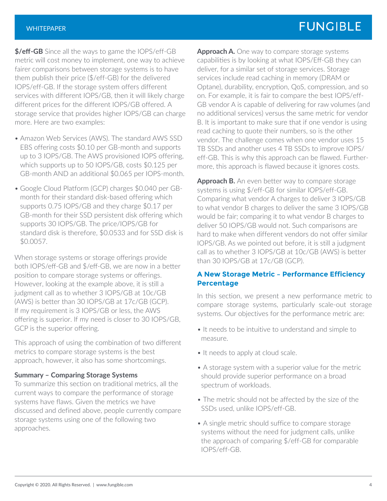**\$/eff-GB** Since all the ways to game the IOPS/eff-GB metric will cost money to implement, one way to achieve fairer comparisons between storage systems is to have them publish their price (\$/eff-GB) for the delivered IOPS/eff-GB. If the storage system offers different services with different IOPS/GB, then it will likely charge different prices for the different IOPS/GB offered. A storage service that provides higher IOPS/GB can charge more. Here are two examples:

- Amazon Web Services (AWS). The standard AWS SSD EBS offering costs \$0.10 per GB-month and supports up to 3 IOPS/GB. The AWS provisioned IOPS offering, which supports up to 50 IOPS/GB, costs \$0.125 per GB-month AND an additional \$0.065 per IOPS-month.
- Google Cloud Platform (GCP) charges \$0.040 per GBmonth for their standard disk-based offering which supports 0.75 IOPS/GB and they charge \$0.17 per GB-month for their SSD persistent disk offering which supports 30 IOPS/GB. The price/IOPS/GB for standard disk is therefore, \$0.0533 and for SSD disk is \$0.0057.

When storage systems or storage offerings provide both IOPS/eff-GB and \$/eff-GB, we are now in a better position to compare storage systems or offerings. However, looking at the example above, it is still a judgment call as to whether 3 IOPS/GB at 10c/GB (AWS) is better than 30 IOPS/GB at 17c/GB (GCP). If my requirement is 3 IOPS/GB or less, the AWS offering is superior. If my need is closer to 30 IOPS/GB, GCP is the superior offering.

This approach of using the combination of two different metrics to compare storage systems is the best approach, however, it also has some shortcomings.

## **Summary – Comparing Storage Systems**

To summarize this section on traditional metrics, all the current ways to compare the performance of storage systems have flaws. Given the metrics we have discussed and defined above, people currently compare storage systems using one of the following two approaches.

**Approach A.** One way to compare storage systems capabilities is by looking at what IOPS/Eff-GB they can deliver, for a similar set of storage services. Storage services include read caching in memory (DRAM or Optane), durability, encryption, QoS, compression, and so on. For example, it is fair to compare the best IOPS/eff-GB vendor A is capable of delivering for raw volumes (and no additional services) versus the same metric for vendor B. It is important to make sure that if one vendor is using read caching to quote their numbers, so is the other vendor. The challenge comes when one vendor uses 15 TB SSDs and another uses 4 TB SSDs to improve IOPS/ eff-GB. This is why this approach can be flawed. Furthermore, this approach is flawed because it ignores costs.

**Approach B.** An even better way to compare storage systems is using \$/eff-GB for similar IOPS/eff-GB. Comparing what vendor A charges to deliver 3 IOPS/GB to what vendor B charges to deliver the same 3 IOPS/GB would be fair; comparing it to what vendor B charges to deliver 50 IOPS/GB would not. Such comparisons are hard to make when different vendors do not offer similar IOPS/GB. As we pointed out before, it is still a judgment call as to whether 3 IOPS/GB at 10c/GB (AWS) is better than 30 IOPS/GB at 17c/GB (GCP).

## **A New Storage Metric – Performance Efficiency Percentage**

In this section, we present a new performance metric to compare storage systems, particularly scale-out storage systems. Our objectives for the performance metric are:

- It needs to be intuitive to understand and simple to measure.
- It needs to apply at cloud scale.
- A storage system with a superior value for the metric should provide superior performance on a broad spectrum of workloads.
- The metric should not be affected by the size of the SSDs used, unlike IOPS/eff-GB.
- A single metric should suffice to compare storage systems without the need for judgment calls, unlike the approach of comparing \$/eff-GB for comparable IOPS/eff-GB.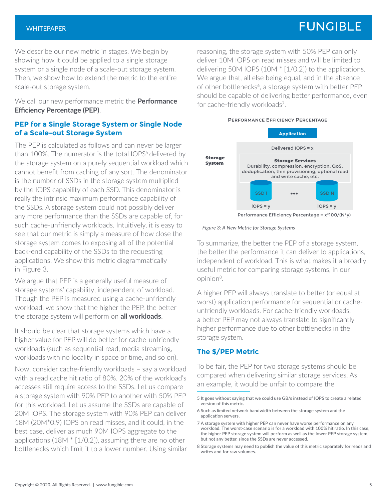## **FUNGIBLE**

We describe our new metric in stages. We begin by showing how it could be applied to a single storage system or a single node of a scale-out storage system. Then, we show how to extend the metric to the entire scale-out storage system.

We call our new performance metric the **Performance Efficiency Percentage (PEP)**.

## **PEP for a Single Storage System or Single Node of a Scale-out Storage System**

The PEP is calculated as follows and can never be larger than 100%. The numerator is the total IOPS<sup>5</sup> delivered by the storage system on a purely sequential workload which cannot benefit from caching of any sort. The denominator is the number of SSDs in the storage system multiplied by the IOPS capability of each SSD. This denominator is really the intrinsic maximum performance capability of the SSDs. A storage system could not possibly deliver any more performance than the SSDs are capable of, for such cache-unfriendly workloads. Intuitively, it is easy to see that our metric is simply a measure of how close the storage system comes to exposing all of the potential back-end capability of the SSDs to the requesting applications. We show this metric diagrammatically in Figure 3.

We argue that PEP is a generally useful measure of storage systems' capability, independent of workload. Though the PEP is measured using a cache-unfriendly workload, we show that the higher the PEP, the better the storage system will perform on **all workloads**.

It should be clear that storage systems which have a higher value for PEP will do better for cache-unfriendly workloads (such as sequential read, media streaming, workloads with no locality in space or time, and so on).

Now, consider cache-friendly workloads – say a workload with a read cache hit ratio of 80%. 20% of the workload's accesses still require access to the SSDs. Let us compare a storage system with 90% PEP to another with 50% PEP for this workload. Let us assume the SSDs are capable of 20M IOPS. The storage system with 90% PEP can deliver 18M (20M\*0.9) IOPS on read misses, and it could, in the best case, deliver as much 90M IOPS aggregate to the applications (18M \* [1/0.2]), assuming there are no other bottlenecks which limit it to a lower number. Using similar

reasoning, the storage system with 50% PEP can only deliver 10M IOPS on read misses and will be limited to delivering 50M IOPS (10M \* [1/0.2]) to the applications. We argue that, all else being equal, and in the absence of other bottlenecks<sup>6</sup>, a storage system with better PEP should be capable of delivering better performance, even for cache-friendly workloads<sup>7</sup>.

#### **Performance Efficiency Percentage**



*Figure 3: A New Metric for Storage Systems*

To summarize, the better the PEP of a storage system, the better the performance it can deliver to applications, independent of workload. This is what makes it a broadly useful metric for comparing storage systems, in our opinion8.

A higher PEP will always translate to better (or equal at worst) application performance for sequential or cacheunfriendly workloads. For cache-friendly workloads, a better PEP may not always translate to significantly higher performance due to other bottlenecks in the storage system.

### **The \$/PEP Metric**

To be fair, the PEP for two storage systems should be compared when delivering similar storage services. As an example, it would be unfair to compare the

<sup>5</sup> It goes without saying that we could use GB/s instead of IOPS to create a related version of this metric.

<sup>6</sup> Such as limited network bandwidth between the storage system and the application servers.

<sup>7</sup> A storage system with higher PEP can never have worse performance on any workload. The worst-case scenario is for a workload with 100% hit ratio. In this case, the higher PEP storage system will perform as well as the lower PEP storage system, but not any better, since the SSDs are never accessed.

<sup>8</sup> Storage systems may need to publish the value of this metric separately for reads and writes and for raw volumes.